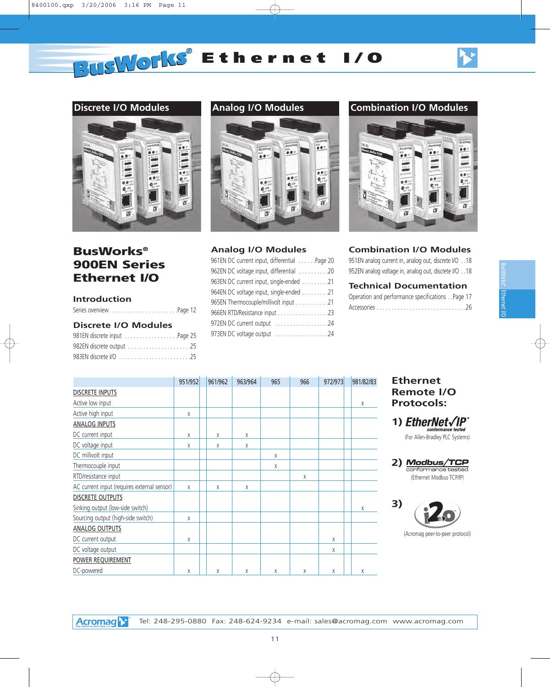### **Discrete I/O Modules**



# **BusWorks® 900EN Series Ethernet I/O**

### **Introduction**

### **Discrete I/O Modules**

| 981EN discrete input Page 25 |  |
|------------------------------|--|
| 982EN discrete output 25     |  |
|                              |  |



### **Analog I/O Modules**

| 961EN DC current input, differential Page 20 |
|----------------------------------------------|
| 962EN DC voltage input, differential 20      |
| 963EN DC current input, single-ended 21      |
| 964EN DC voltage input, single-ended 21      |
| 965EN Thermocouple/millivolt input 21        |
| 966EN RTD/Resistance input 23                |
| 972EN DC current output 24                   |
| 973EN DC voltage output 24                   |
|                                              |

### **Analog I/O Modules Combination I/O Modules**



### **Combination I/O Modules**

951EN analog current in, analog out, discrete I/O . .18 952EN analog voltage in, analog out, discrete I/O . .18

### **Technical Documentation**

| Operation and performance specificationsPage 17 |  |
|-------------------------------------------------|--|
|                                                 |  |

|                                             | 951/952 | 961/962 | 963/964 | 965 | 966 | 972/973 | 981/82/83 |
|---------------------------------------------|---------|---------|---------|-----|-----|---------|-----------|
| <b>DISCRETE INPUTS</b>                      |         |         |         |     |     |         |           |
| Active low input                            |         |         |         |     |     |         | X         |
| Active high input                           | χ       |         |         |     |     |         |           |
| ANALOG INPUTS                               |         |         |         |     |     |         |           |
| DC current input                            | X       | X       | X       |     |     |         |           |
| DC voltage input                            | X       | Χ       | X       |     |     |         |           |
| DC millivolt input                          |         |         |         | Χ   |     |         |           |
| Thermocouple input                          |         |         |         | Χ   |     |         |           |
| RTD/resistance input                        |         |         |         |     | X   |         |           |
| AC current input (requires external sensor) | X       | X       | X       |     |     |         |           |
| <b>DISCRETE OUTPUTS</b>                     |         |         |         |     |     |         |           |
| Sinking output (low-side switch)            |         |         |         |     |     |         | X         |
| Sourcing output (high-side switch)          | X       |         |         |     |     |         |           |
| <b>ANALOG OUTPUTS</b>                       |         |         |         |     |     |         |           |
| DC current output                           | X       |         |         |     |     | X       |           |
| DC voltage output                           |         |         |         |     |     | X       |           |
| <b>POWER REQUIREMENT</b>                    |         |         |         |     |     |         |           |
| DC-powered                                  | X       | X       | X       | X   | X   | X       | X         |

### **Ethernet Remote I/O Protocols:**

**1) EtherNet√IP** conformance

<sup>2)</sup> Modbus/TCP conformance tested (Ethernet Modbus TCP/IP)



(Acromag peer-to-peer protocol)

<sup>(</sup>For Allen-Bradley PLC Systems)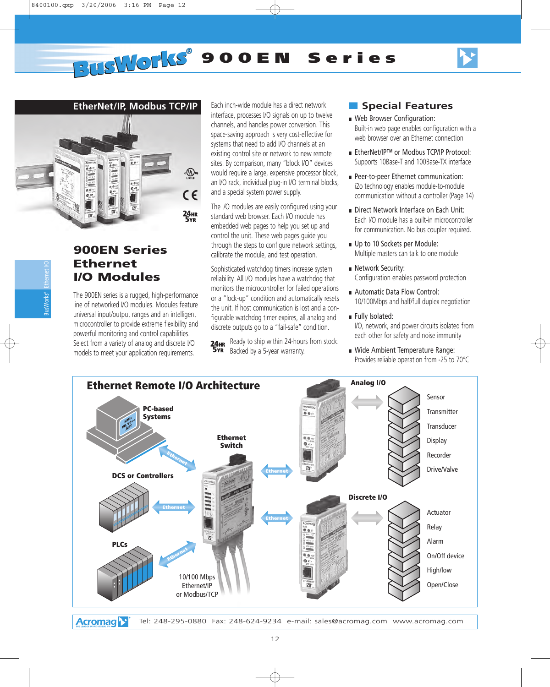

### **EtherNet/IP, Modbus TCP/IP**



## **900EN Series Ethernet I/O Modules**

The 900EN series is a rugged, high-performance line of networked I/O modules. Modules feature universal input/output ranges and an intelligent microcontroller to provide extreme flexibility and powerful monitoring and control capabilities. Select from a variety of analog and discrete I/O models to meet your application requirements.

Each inch-wide module has a direct network interface, processes I/O signals on up to twelve channels, and handles power conversion. This space-saving approach is very cost-effective for systems that need to add I/O channels at an existing control site or network to new remote sites. By comparison, many "block I/O" devices would require a large, expensive processor block, an I/O rack, individual plug-in I/O terminal blocks, and a special system power supply.

The I/O modules are easily configured using your standard web browser. Each I/O module has embedded web pages to help you set up and control the unit. These web pages guide you through the steps to configure network settings, calibrate the module, and test operation.

Sophisticated watchdog timers increase system reliability. All I/O modules have a watchdog that monitors the microcontroller for failed operations or a "lock-up" condition and automatically resets the unit. If host communication is lost and a configurable watchdog timer expires, all analog and discrete outputs go to a "fail-safe" condition.

Ready to ship within 24-hours from stock. Backed by a 5-year warranty.

### ■ **Special Features**

- Web Browser Configuration: Built-in web page enables configuration with a web browser over an Ethernet connection
- EtherNet/IP™ or Modbus TCP/IP Protocol: Supports 10Base-T and 100Base-TX interface
- Peer-to-peer Ethernet communication: i2o technology enables module-to-module communication without a controller (Page 14)
- Direct Network Interface on Each Unit: Each I/O module has a built-in microcontroller for communication. No bus coupler required.
- Up to 10 Sockets per Module: Multiple masters can talk to one module
- Network Security: Configuration enables password protection
- Automatic Data Flow Control: 10/100Mbps and half/full duplex negotiation
- Fully Isolated: I/O, network, and power circuits isolated from each other for safety and noise immunity
- Wide Ambient Temperature Range: Provides reliable operation from -25 to 70°C

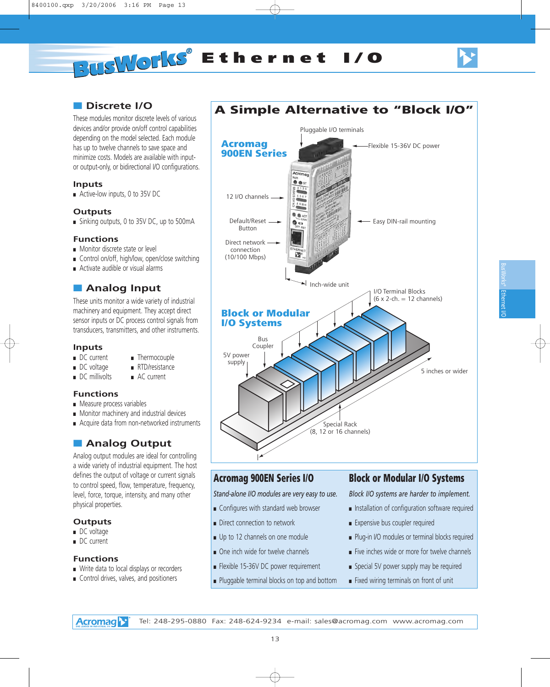Ethernet BusWorks® Ethernert I/O

# ■ **Discrete I/O**

These modules monitor discrete levels of various devices and/or provide on/off control capabilities depending on the model selected. Each module has up to twelve channels to save space and minimize costs. Models are available with inputor output-only, or bidirectional I/O configurations.

### **Inputs**

■ Active-low inputs, 0 to 35V DC

### **Outputs**

■ Sinking outputs, 0 to 35V DC, up to 500mA

### **Functions**

- Monitor discrete state or level
- Control on/off, high/low, open/close switching
- Activate audible or visual alarms

### ■ **Analog Input**

These units monitor a wide variety of industrial machinery and equipment. They accept direct sensor inputs or DC process control signals from transducers, transmitters, and other instruments.

■ Thermocouple

# **Inputs**<br>**DC** current

- 
- DC voltage RTD/resistance
- DC millivolts AC current

### **Functions**

- Measure process variables
- Monitor machinery and industrial devices
- Acquire data from non-networked instruments

# ■ **Analog Output**

Analog output modules are ideal for controlling a wide variety of industrial equipment. The host defines the output of voltage or current signals to control speed, flow, temperature, frequency, level, force, torque, intensity, and many other physical properties.

### **Outputs**

- DC voltage
- DC current

### **Functions**

- Write data to local displays or recorders
- Control drives, valves, and positioners



## **Acromag 900EN Series I/O**

*Stand-alone I/O modules are very easy to use.*

- Configures with standard web browser
- Direct connection to network
- Up to 12 channels on one module
- One inch wide for twelve channels
- Flexible 15-36V DC power requirement
- Pluggable terminal blocks on top and bottom

## **Block or Modular I/O Systems**

*Block I/O systems are harder to implement.*

- Installation of configuration software required
- Expensive bus coupler required
- Plug-in I/O modules or terminal blocks required
- Five inches wide or more for twelve channels
- Special 5V power supply may be required
- Fixed wiring terminals on front of unit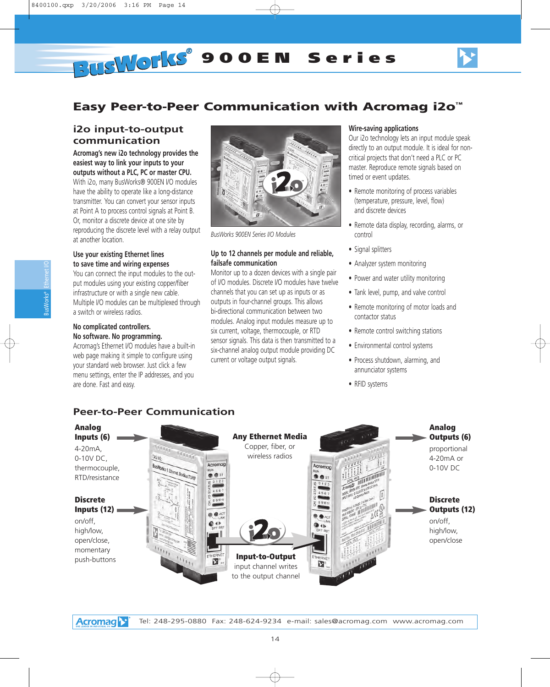

# **Easy Peer-to-Peer Communication with Acromag i2o™**

### **i2o input-to-output communication**

**Acromag's new i2o technology provides the easiest way to link your inputs to your outputs without a PLC, PC or master CPU.** 

With i2o, many BusWorks® 900EN I/O modules have the ability to operate like a long-distance transmitter. You can convert your sensor inputs at Point A to process control signals at Point B. Or, monitor a discrete device at one site by reproducing the discrete level with a relay output at another location.

### **Use your existing Ethernet lines to save time and wiring expenses**

You can connect the input modules to the output modules using your existing copper/fiber infrastructure or with a single new cable. Multiple I/O modules can be multiplexed through a switch or wireless radios.

#### **No complicated controllers. No software. No programming.**

Acromag's Ethernet I/O modules have a built-in web page making it simple to configure using your standard web browser. Just click a few menu settings, enter the IP addresses, and you are done. Fast and easy.



*BusWorks 900EN Series I/O Modules*

### **Up to 12 channels per module and reliable, failsafe communication**

Monitor up to a dozen devices with a single pair of I/O modules. Discrete I/O modules have twelve channels that you can set up as inputs or as outputs in four-channel groups. This allows bi-directional communication between two modules. Analog input modules measure up to six current, voltage, thermocouple, or RTD sensor signals. This data is then transmitted to a six-channel analog output module providing DC current or voltage output signals.

### **Wire-saving applications**

Our i2o technology lets an input module speak directly to an output module. It is ideal for noncritical projects that don't need a PLC or PC master. Reproduce remote signals based on timed or event updates.

- Remote monitoring of process variables (temperature, pressure, level, flow) and discrete devices
- Remote data display, recording, alarms, or control
- Signal splitters
- Analyzer system monitoring
- Power and water utility monitoring
- Tank level, pump, and valve control
- Remote monitoring of motor loads and contactor status
- Remote control switching stations
- Environmental control systems
- Process shutdown, alarming, and annunciator systems
- RFID systems

## **Peer-to-Peer Communication**



**Acromag**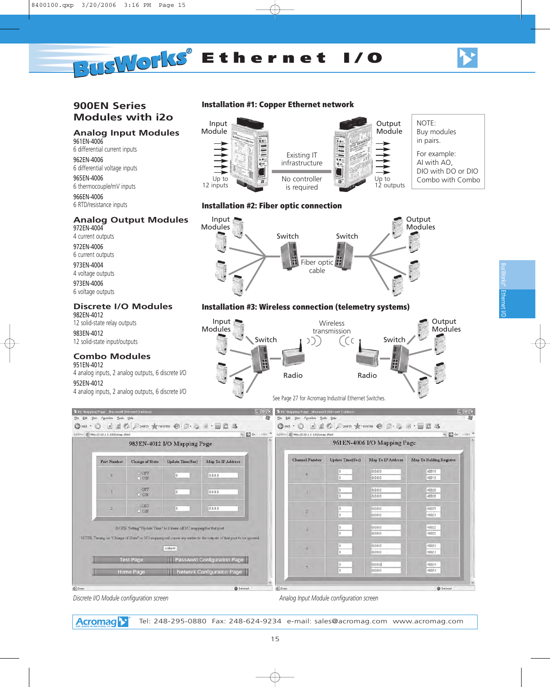



### **900EN Series Modules with i2o**

# **Analog Input Modules**

961EN-4006 6 differential current inputs

962EN-4006 6 differential voltage inputs

965EN-4006 6 thermocouple/mV inputs

966EN-4006 6 RTD/resistance inputs

### **Analog Output Modules**

972EN-4004 4 current outputs

972EN-4006 6 current outputs 973EN-4004 4 voltage outputs 973EN-4006 6 voltage outputs

#### **Discrete I/O Modules** 982EN-4012

12 solid-state relay outputs

983EN-4012 12 solid-state input/outputs

### **Combo Modules**

951EN-4012 4 analog inputs, 2 analog outputs, 6 discrete I/O 952EN-4012 4 analog inputs, 2 analog outputs, 6 discrete I/O

### **Installation #1: Copper Ethernet network**



### **Installation #2: Fiber optic connection**



### **Installation #3: Wireless connection (telemetry systems)**



| #ddress @ http://129.1.1.100/iomap.shtml |                        |                                                                       | vi El Go Links <sup>33</sup>                                                                                    | Address   http://129.1.1.100/lomap.shtml |                  |                             | v El Go Links W                |
|------------------------------------------|------------------------|-----------------------------------------------------------------------|-----------------------------------------------------------------------------------------------------------------|------------------------------------------|------------------|-----------------------------|--------------------------------|
|                                          |                        | 983EN-4012 I/O Mapping Page                                           |                                                                                                                 | io.                                      |                  | 961EN-4006 I/O Mapping Page |                                |
| Port Number                              | <b>Change of State</b> | Update Time(Sec)                                                      | Map To IP Address                                                                                               | <b>Channel Number</b>                    | Update Time(Sec) | Map To IP Address           | <b>Map To Holding Register</b> |
| $\overline{0}$                           | OOFF<br>O ON           | IO.                                                                   | 0.0.0.0                                                                                                         | $\overline{0}$                           | 0<br>o           | 0.0.0.0<br>0.0.0.0          | 40019<br>40019                 |
|                                          | OOFF<br>O ON           | $\vert 0 \vert$                                                       | 0.0.0.0                                                                                                         |                                          | 0<br>o.          | 0.0.0.0<br>0.0.0.0          | 40020<br>40020                 |
| $\sqrt{2}$                               | OOFF<br>O ON           | IO.                                                                   | 0.0.0.0                                                                                                         | $\overline{2}$                           | n.               | 0.0.0.0<br>0.0.0.0          | 40021<br>40021                 |
|                                          |                        | NOTE: Setting "Update Time" to 0 turns off I/O mapping for that port. |                                                                                                                 | $\overline{3}$                           | o.               | 0.0.0.0<br>0.0.0.0          | 40022<br>40022                 |
|                                          |                        | submit                                                                | NOTE Turning on "Change of State" or UO mapping will cause any writes to the outputs of that port to be ignored | W                                        | n.               | 0.0.0.0<br>0.0.0.0          | 40023<br>40023                 |
|                                          |                        |                                                                       |                                                                                                                 |                                          |                  |                             |                                |

*Discrete I/O Module configuration screen* Analog Input Module configuration screen Analog Input Module configuration screen

**Acromag** Tel: 248-295-0880 Fax: 248-624-9234 e-mail: sales@acromag.com www.acromag.com Ethernet BusWorks® Ethernert I/O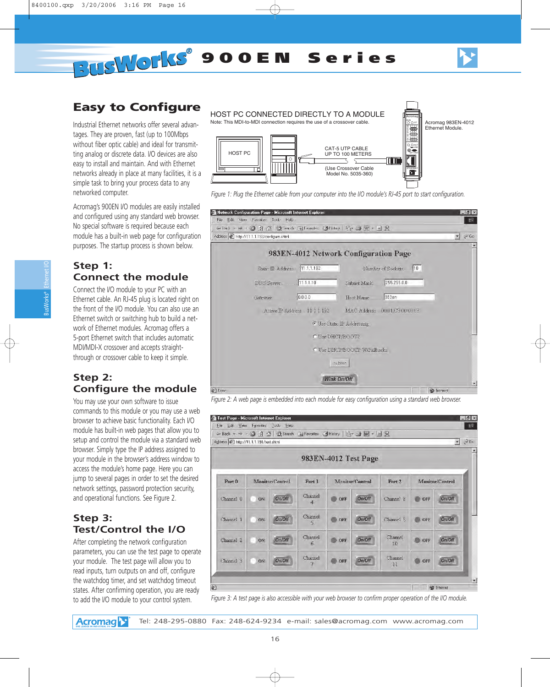

# **Easy to Configure**

Industrial Ethernet networks offer several advantages. They are proven, fast (up to 100Mbps without fiber optic cable) and ideal for transmitting analog or discrete data. I/O devices are also easy to install and maintain. And with Ethernet networks already in place at many facilities, it is a simple task to bring your process data to any networked computer.

Acromag's 900EN I/O modules are easily installed and configured using any standard web browser. No special software is required because each module has a built-in web page for configuration purposes. The startup process is shown below.

### **Step 1: Connect the module**

Connect the I/O module to your PC with an Ethernet cable. An RJ-45 plug is located right on the front of the I/O module. You can also use an Ethernet switch or switching hub to build a network of Ethernet modules. Acromag offers a 5-port Ethernet switch that includes automatic MDI/MDI-X crossover and accepts straightthrough or crossover cable to keep it simple.

### **Step 2: Configure the module**

You may use your own software to issue commands to this module or you may use a web browser to achieve basic functionality. Each I/O module has built-in web pages that allow you to setup and control the module via a standard web browser. Simply type the IP address assigned to your module in the browser's address window to access the module's home page. Here you can jump to several pages in order to set the desired network settings, password protection security, and operational functions. See Figure 2.

### **Step 3: Test/Control the I/O**

After completing the network configuration parameters, you can use the test page to operate your module. The test page will allow you to read inputs, turn outputs on and off, configure the watchdog timer, and set watchdog timeout states. After confirming operation, you are ready to add the I/O module to your control system.

HOST PC CONNECTED DIRECTLY TO A MODULE

Note: This MDI-to-MDI connection requires the use of a crossover cable.



Acromag 983EN-4012 Ethernet Module.

910 5 6

ST

Acromag

RST LINK 11 7

DFT

4  $\frac{1}{2}$ 

*Figure 1: Plug the Ethernet cable from your computer into the I/O module's RJ-45 port to start configuration.*

| Network Configuration Page - Microsoft Internet Explorer         | $-15 \times$                                     |
|------------------------------------------------------------------|--------------------------------------------------|
| File Edit View Favorites Tools Help                              | 國                                                |
| ←Back ← → ← ③ 図 企   ③Search   ※Favorites ④History   弘← △ 丽 ← 目 只 |                                                  |
| Address (2) http://11.1.1.192/configure.shtml                    | $\curvearrowright$ Go<br>$\overline{\mathbf{r}}$ |
|                                                                  | 983EN-4012 Network Configuration Page            |
| Static IP Address 11.1.1.192                                     | Number of Sockets. 10                            |
|                                                                  | 255.255.0.0<br>Subnet Mask                       |
| Gateway 0.0.0.0                                                  | Host Name. 983en                                 |
| Active IP Address 11 1 1 1 92                                    | MAC Address 00.01.C3:00.00.03                    |
|                                                                  | <b>C</b> Use Static IP Addressing                |
|                                                                  | C Use DHCP/BOOTP                                 |
|                                                                  | C Use DHCP/BOOTP W/Fallbacks                     |
|                                                                  | submit                                           |
|                                                                  | Wink On/Off<br>$\blacktriangledown$              |
| $407 - 10$                                                       | <b>The Teacher</b>                               |

*Figure 2: A web page is embedded into each module for easy configuration using a standard web browser.*

| Address @ http://11.1.1.191/test.shtml |         |                 |                         |            |                      |                   |     | $\rightarrow$ $\sim$ Go |
|----------------------------------------|---------|-----------------|-------------------------|------------|----------------------|-------------------|-----|-------------------------|
|                                        |         |                 |                         |            | 983EN-4012 Test Page |                   |     |                         |
| Port 0                                 |         | Monitor/Control | Port 1                  |            | Monitor/Control      | Port <sub>2</sub> |     | Monitor/Control         |
| Channel 0                              | ON      | On/Off          | Channel<br>$\mathbf{4}$ | <b>OFF</b> | On/Off               | Channel 8         | OFF | On/Off                  |
| Channel 1                              | ON      | On/Off          | Channel<br>5            | OFF        | On/Off               | Channel 9         | OFF | On/Off                  |
| Channel 2                              | ON      | On/Off          | Channel<br>6.5          | OFF        | On/Off               | Channel<br>10     | OFF | On/Off                  |
| Channel 3                              | ON<br>m | On/Off          | Channel                 | OFF        | On/Off               | Channel<br>11     | OFF | On/Off                  |

*Figure 3: A test page is also accessible with your web browser to confirm proper operation of the I/O module.*

Tel: 248-295-0880 Fax: 248-624-9234 e-mail: sales@acromag.com www.acromag.com **Acromag** 

Ethernet I/O

BusWorks®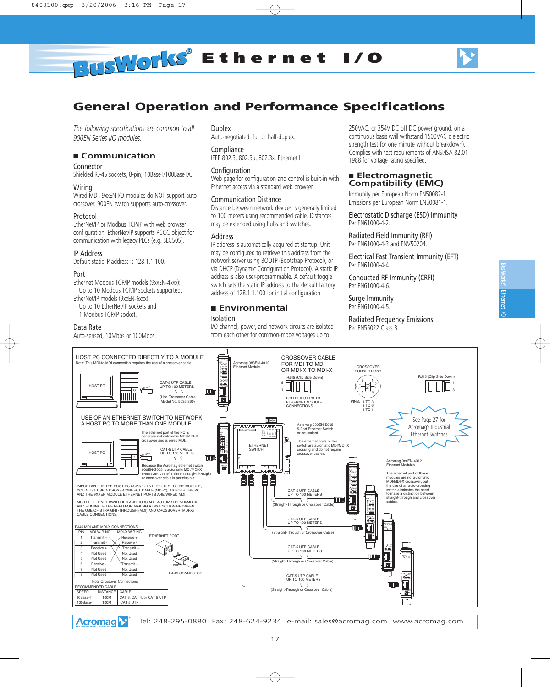



# **General Operation and Performance Specifications**

*The following specifications are common to all 900EN Series I/O modules.*

#### ■ **Communication**

#### Connector

Shielded RJ-45 sockets, 8-pin, 10BaseT/100BaseTX.

#### Wiring

Wired MDI. 9xxEN I/O modules do NOT support autocrossover. 900EN switch supports auto-crossover.

#### Protocol

EtherNet/IP or Modbus TCP/IP with web browser configuration. EtherNet/IP supports PCCC object for communication with legacy PLCs (e.g. SLC505).

#### IP Address

Default static IP address is 128.1.1.100.

#### Port

Ethernet Modbus TCP/IP models (9xxEN-4xxx): Up to 10 Modbus TCP/IP sockets supported.

- EtherNet/IP models (9xxEN-6xxx):
- Up to 10 EtherNet/IP sockets and
- 1 Modbus TCP/IP socket.

#### Data Rate

Auto-sensed, 10Mbps or 100Mbps.

## Duplex

Auto-negotiated, full or half-duplex.

### **Compliance**

IEEE 802.3, 802.3u, 802.3x, Ethernet II.

#### Configuration

Web page for configuration and control is built-in with Ethernet access via a standard web browser.

#### Communication Distance

Distance between network devices is generally limited to 100 meters using recommended cable. Distances may be extended using hubs and switches.

#### Address

IP address is automatically acquired at startup. Unit may be configured to retrieve this address from the network server using BOOTP (Bootstrap Protocol), or via DHCP (Dynamic Configuration Protocol). A static IP address is also user-programmable. A default toggle switch sets the static IP address to the default factory address of 128.1.1.100 for initial configuration.

#### ■ **Environmental** Isolation

I/O channel, power, and network circuits are isolated from each other for common-mode voltages up to

250VAC, or 354V DC off DC power ground, on a continuous basis (will withstand 1500VAC dielectric strength test for one minute without breakdown). Complies with test requirements of ANSI/ISA-82.01- 1988 for voltage rating specified.

#### ■ **Electromagnetic Compatibility (EMC)**

Immunity per European Norm EN50082-1. Emissions per European Norm EN50081-1.

Electrostatic Discharge (ESD) Immunity Per EN61000-4-2.

Radiated Field Immunity (RFI) Per EN61000-4-3 and ENV50204.

Electrical Fast Transient Immunity (EFT) Per EN61000-4-4.

Conducted RF Immunity (CRFI) Per EN61000-4-6.

Surge Immunity Per EN61000-4-5.

Radiated Frequency Emissions Per EN55022 Class B.

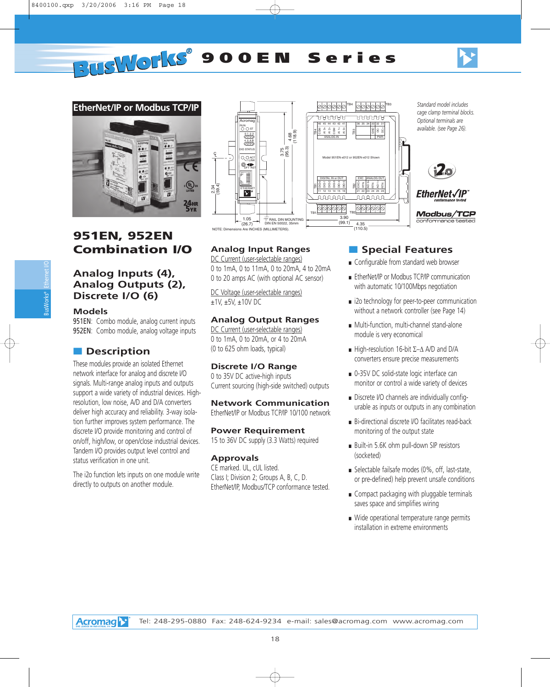



# **951EN, 952EN Combination I/O**

### **Analog Inputs (4), Analog Outputs (2), Discrete I/O (6)**

### **Models**

951EN: Combo module, analog current inputs 952EN: Combo module, analog voltage inputs

### ■ **Description**

These modules provide an isolated Ethernet network interface for analog and discrete I/O signals. Multi-range analog inputs and outputs support a wide variety of industrial devices. Highresolution, low noise, A/D and D/A converters deliver high accuracy and reliability. 3-way isolation further improves system performance. The discrete I/O provide monitoring and control of on/off, high/low, or open/close industrial devices. Tandem I/O provides output level control and status verification in one unit.

The i2o function lets inputs on one module write directly to outputs on another module.



### **Analog Input Ranges**

DC Current (user-selectable ranges) 0 to 1mA, 0 to 11mA, 0 to 20mA, 4 to 20mA 0 to 20 amps AC (with optional AC sensor)

DC Voltage (user-selectable ranges) ±1V, ±5V, ±10V DC

### **Analog Output Ranges**

DC Current (user-selectable ranges) 0 to 1mA, 0 to 20mA, or 4 to 20mA (0 to 625 ohm loads, typical)

### **Discrete I/O Range**

0 to 35V DC active-high inputs Current sourcing (high-side switched) outputs

**Network Communication** EtherNet/IP or Modbus TCP/IP 10/100 network

**Power Requirement** 15 to 36V DC supply (3.3 Watts) required

### **Approvals**

CE marked. UL, cUL listed. Class I; Division 2; Groups A, B, C, D. EtherNet/IP, Modbus/TCP conformance tested.

### ■ **Special Features**

- Configurable from standard web browser
- EtherNet/IP or Modbus TCP/IP communication with automatic 10/100Mbps negotiation
- i2o technology for peer-to-peer communication without a network controller (see Page 14)
- Multi-function, multi-channel stand-alone module is very economical
- $\blacksquare$  High-resolution 16-bit  $\Sigma-\Delta$  A/D and D/A converters ensure precise measurements
- 0-35V DC solid-state logic interface can monitor or control a wide variety of devices
- Discrete I/O channels are individually configurable as inputs or outputs in any combination
- Bi-directional discrete I/O facilitates read-back monitoring of the output state
- Built-in 5.6K ohm pull-down SIP resistors (socketed)
- Selectable failsafe modes (0%, off, last-state, or pre-defined) help prevent unsafe conditions
- Compact packaging with pluggable terminals saves space and simplifies wiring
- Wide operational temperature range permits installation in extreme environments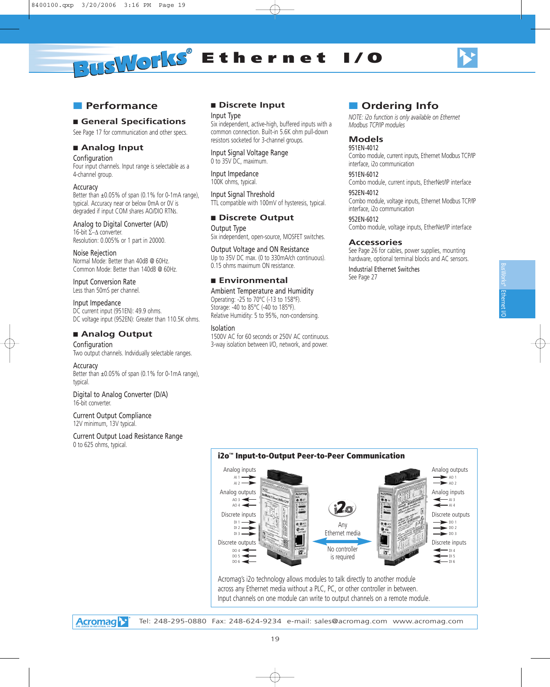

### ■ **Performance**

### ■ General Specifications

See Page 17 for communication and other specs.

### ■ **Analog Input**

Configuration

Four input channels. Input range is selectable as a 4-channel group.

#### Accuracy

Better than ±0.05% of span (0.1% for 0-1mA range), typical. Accuracy near or below 0mA or 0V is degraded if input COM shares AO/DIO RTNs.

Analog to Digital Converter (A/D) 16-bit  $\Sigma-\Delta$  converter. Resolution: 0.005% or 1 part in 20000.

Noise Rejection Normal Mode: Better than 40dB @ 60Hz. Common Mode: Better than 140dB @ 60Hz.

Input Conversion Rate Less than 50mS per channel.

Input Impedance DC current input (951EN): 49.9 ohms. DC voltage input (952EN): Greater than 110.5K ohms.

### ■ **Analog Output**

Configuration Two output channels. Indvidually selectable ranges.

#### Accuracy

Better than ±0.05% of span (0.1% for 0-1mA range), typical.

Digital to Analog Converter (D/A) 16-bit converter.

Current Output Compliance 12V minimum, 13V typical.

Current Output Load Resistance Range 0 to 625 ohms, typical.

### ■ **Discrete Input**

Input Type Six independent, active-high, buffered inputs with a common connection. Built-in 5.6K ohm pull-down resistors socketed for 3-channel groups.

Input Signal Voltage Range 0 to 35V DC, maximum.

Input Impedance 100K ohms, typical.

Input Signal Threshold TTL compatible with 100mV of hysteresis, typical.

### ■ **Discrete Output**

Output Type Six independent, open-source, MOSFET switches.

Output Voltage and ON Resistance Up to 35V DC max. (0 to 330mA/ch continuous). 0.15 ohms maximum ON resistance.

### ■ **Environmental**

Ambient Temperature and Humidity Operating: -25 to 70°C (-13 to 158°F). Storage: -40 to 85°C (-40 to 185°F). Relative Humidity: 5 to 95%, non-condensing.

Isolation

1500V AC for 60 seconds or 250V AC continuous. 3-way isolation between I/O, network, and power.

### ■ **Ordering Info**

*NOTE: i2o function is only available on Ethernet Modbus TCP/IP modules*

### **Models**

951EN-4012 Combo module, current inputs, Ethernet Modbus TCP/IP interface, i2o communication

951EN-6012 Combo module, current inputs, EtherNet/IP interface

952EN-4012 Combo module, voltage inputs, Ethernet Modbus TCP/IP interface, i2o communication

952EN-6012 Combo module, voltage inputs, EtherNet/IP interface

### **Accessories**

See Page 26 for cables, power supplies, mounting hardware, optional terminal blocks and AC sensors.

Industrial Ethernet Switches See Page 27



Input channels on one module can write to output channels on a remote module.

**Acromag**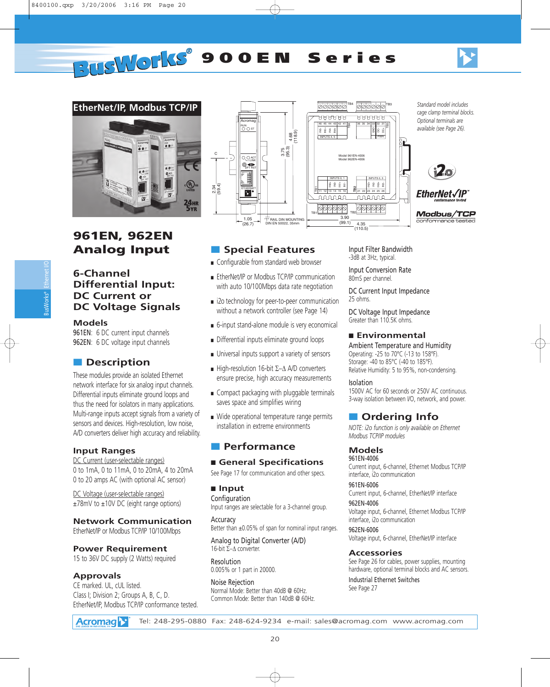



# **961EN, 962EN Analog Input**

### **6-Channel Differential Input: DC Current or DC Voltage Signals**

### **Models**

961EN: 6 DC current input channels 962EN: 6 DC voltage input channels

## ■ **Description**

These modules provide an isolated Ethernet network interface for six analog input channels. Differential inputs eliminate ground loops and thus the need for isolators in many applications. Multi-range inputs accept signals from a variety of sensors and devices. High-resolution, low noise, A/D converters deliver high accuracy and reliability.

### **Input Ranges**

DC Current (user-selectable ranges) 0 to 1mA, 0 to 11mA, 0 to 20mA, 4 to 20mA 0 to 20 amps AC (with optional AC sensor)

DC Voltage (user-selectable ranges) ±78mV to ±10V DC (eight range options)

### **Network Communication**

EtherNet/IP or Modbus TCP/IP 10/100Mbps

### **Power Requirement**

15 to 36V DC supply (2 Watts) required

### **Approvals**

CE marked. UL, cUL listed. Class I; Division 2; Groups A, B, C, D. EtherNet/IP, Modbus TCP/IP conformance tested.



## ■ **Special Features**

- Configurable from standard web browser
- EtherNet/IP or Modbus TCP/IP communication with auto 10/100Mbps data rate negotiation
- i2o technology for peer-to-peer communication without a network controller (see Page 14)
- 6-input stand-alone module is very economical
- Differential inputs eliminate ground loops
- Universal inputs support a variety of sensors
- High-resolution 16-bit  $\Sigma-\Delta$  A/D converters ensure precise, high accuracy measurements
- Compact packaging with pluggable terminals saves space and simplifies wiring
- Wide operational temperature range permits installation in extreme environments

### ■ **Performance**

### ■ General Specifications

See Page 17 for communication and other specs.

### ■ **Input**

**Configuration** Input ranges are selectable for a 3-channel group.

**Accuracy** Better than ±0.05% of span for nominal input ranges.

Analog to Digital Converter (A/D) 16-bit  $\Sigma-\Delta$  converter.

Resolution 0.005% or 1 part in 20000.

Noise Rejection Normal Mode: Better than 40dB @ 60Hz. Common Mode: Better than 140dB @ 60Hz. Input Filter Bandwidth -3dB at 3Hz, typical.

Input Conversion Rate 80mS per channel.

DC Current Input Impedance 25 ohms.

DC Voltage Input Impedance Greater than 110.5K ohms.

#### ■ **Environmental**

Ambient Temperature and Humidity Operating: -25 to 70°C (-13 to 158°F). Storage: -40 to 85°C (-40 to 185°F). Relative Humidity: 5 to 95%, non-condensing.

#### Isolation

1500V AC for 60 seconds or 250V AC continuous. 3-way isolation between I/O, network, and power.

### ■ **Ordering Info**

*NOTE: i2o function is only available on Ethernet Modbus TCP/IP modules*

### **Models**

961EN-4006 Current input, 6-channel, Ethernet Modbus TCP/IP interface, i2o communication

961EN-6006 Current input, 6-channel, EtherNet/IP interface

962EN-4006 Voltage input, 6-channel, Ethernet Modbus TCP/IP interface, i2o communication

962EN-6006 Voltage input, 6-channel, EtherNet/IP interface

#### **Accessories**

See Page 26 for cables, power supplies, mounting hardware, optional terminal blocks and AC sensors.

Industrial Ethernet Switches See Page 27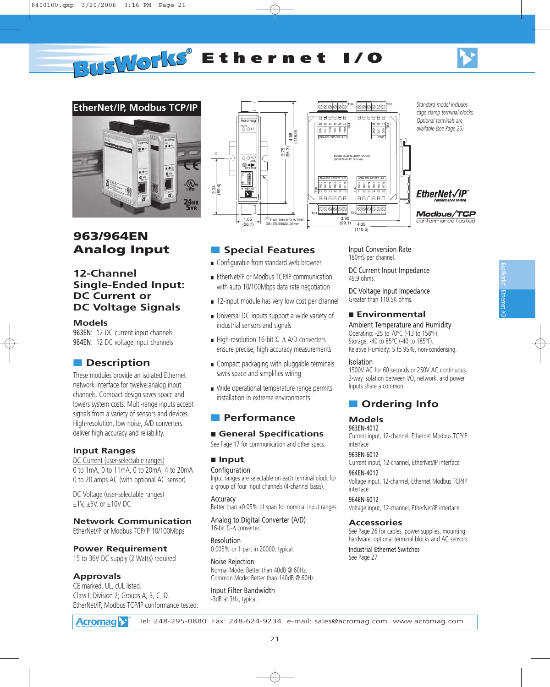



# **963/964EN Analog Input**

### **12-Channel Single-Ended Input: DC Current or DC Voltage Signals**

#### **Models**

963EN: 12 DC current input channels 964EN: 12 DC voltage input channels

### ■ **Description**

These modules provide an isolated Ethernet network interface for twelve analog input channels. Compact design saves space and lowers system costs. Multi-range inputs accept signals from a variety of sensors and devices. High-resolution, low noise, A/D converters deliver high accuracy and reliability.

### **Input Ranges**

DC Current (user-selectable ranges) 0 to 1mA, 0 to 11mA, 0 to 20mA, 4 to 20mA 0 to 20 amps AC (with optional AC sensor)

DC Voltage (user-selectable ranges) ±1V, ±5V, or ±10V DC

### **Network Communication**

EtherNet/IP or Modbus TCP/IP 10/100Mbps

**Power Requirement** 15 to 36V DC supply (2 Watts) required

### **Approvals**

CE marked. UL, cUL listed. Class I; Division 2; Groups A, B, C, D. EtherNet/IP, Modbus TCP/IP conformance tested.



### ■ **Special Features**

- Configurable from standard web browser
- EtherNet/IP or Modbus TCP/IP communication with auto 10/100Mbps data rate negotiation
- 12-input module has very low cost per channel
- Universal DC inputs support a wide variety of industrial sensors and signals
- High-resolution 16-bit  $\Sigma-\Delta$  A/D converters ensure precise, high accuracy measurements
- Compact packaging with pluggable terminals saves space and simplifies wiring
- Wide operational temperature range permits installation in extreme environments

### ■ **Performance**

### ■ General Specifications

See Page 17 for communication and other specs.

### ■ **Input**

**Configuration** Input ranges are selectable on each terminal block for a group of four input channels (4-channel basis).

Accuracy Better than ±0.05% of span for nominal input ranges.

Analog to Digital Converter (A/D) 16-bit  $\Sigma-\Delta$  converter.

Resolution 0.005% or 1 part in 20000, typical.

Noise Rejection Normal Mode: Better than 40dB @ 60Hz. Common Mode: Better than 140dB @ 60Hz.

Input Filter Bandwidth -3dB at 3Hz, typical.

Input Conversion Rate 180mS per channel.

DC Current Input Impedance 49.9 ohms.

DC Voltage Input Impedance Greater than 110.5K ohms.

#### ■ **Environmental**

Ambient Temperature and Humidity Operating: -25 to 70°C (-13 to 158°F). Storage: -40 to 85°C (-40 to 185°F). Relative Humidity: 5 to 95%, non-condensing.

#### Isolation

1500V AC for 60 seconds or 250V AC continuous. 3-way isolation between I/O, network, and power. Inputs share a common.

### ■ **Ordering Info**

### **Models**

963EN-4012 Current input, 12-channel, Ethernet Modbus TCP/IP interface

#### 963EN-6012

Current input, 12-channel, EtherNet/IP interface 964EN-4012

Voltage input, 12-channel, Ethernet Modbus TCP/IP interface

964EN-6012

Voltage input, 12-channel, EtherNet/IP interface

#### **Accessories**

See Page 26 for cables, power supplies, mounting hardware, optional terminal blocks and AC sensors. Industrial Ethernet Switches See Page 27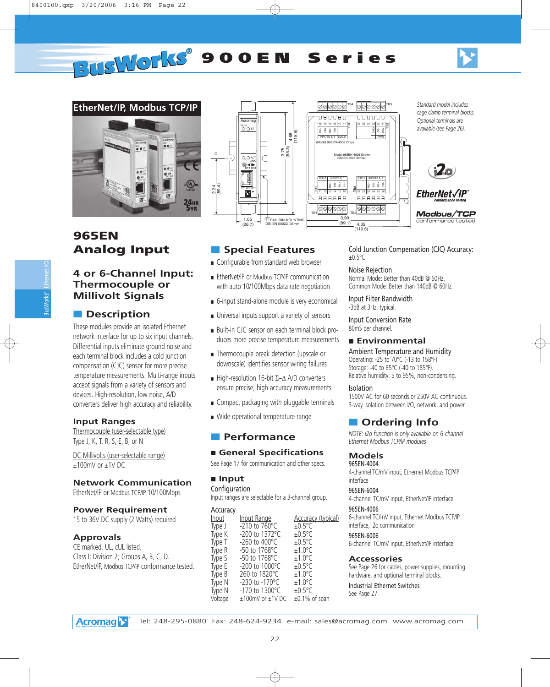



# **965EN Analog Input**

### **4 or 6-Channel Input: Thermocouple or Millivolt Signals**

## ■ **Description**

These modules provide an isolated Ethernet network interface for up to six input channels. Differential inputs eliminate ground noise and each terminal block includes a cold junction compensation (CJC) sensor for more precise temperature measurements. Multi-range inputs accept signals from a variety of sensors and devices. High-resolution, low noise, A/D converters deliver high accuracy and reliability.

### **Input Ranges**

Thermocouple (user-selectable type) Type J, K, T, R, S, E, B, or N

DC Millivolts (user-selectable range) ±100mV or ±1V DC

### **Network Communication**

EtherNet/IP or Modbus TCP/IP 10/100Mbps

### **Power Requirement**

15 to 36V DC supply (2 Watts) required

### **Approvals**

**Acromag** 

CE marked. UL, cUL listed. Class I; Division 2; Groups A, B, C, D. EtherNet/IP, Modbus TCP/IP conformance tested.



# ■ **Special Features**

- Configurable from standard web browser
- EtherNet/IP or Modbus TCP/IP communication with auto 10/100Mbps data rate negotiation
- 6-input stand-alone module is very economical
- Universal inputs support a variety of sensors
- Built-in CJC sensor on each terminal block produces more precise temperature measurements
- Thermocouple break detection (upscale or downscale) identifies sensor wiring failures
- High-resolution 16-bit  $\Sigma-\Delta$  A/D converters ensure precise, high accuracy measurements
- Compact packaging with pluggable terminals
- Wide operational temperature range

### ■ **Performance**

### ■ General Specifications

See Page 17 for communication and other specs.

### ■ **Input**

Configuration Input ranges are selectable for a 3-channel group.

| Accuracy<br>Input<br>Type J<br>Type K<br>Type T<br>Type R<br>Type S<br>Type E<br>Type B<br>Type N | Input Range<br>$-210$ to 760 $^{\circ}$ C<br>$-200$ to 1372 °C<br>-260 to 400°C<br>$-50$ to 1768°C<br>-50 to 1768°C<br>$-200$ to 1000 °C<br>260 to 1820°C<br>$-230$ to $-170^{\circ}$ C | <b>Accuracy (typical)</b><br>$+0.5^{\circ}$ C<br>$+0.5^{\circ}$ C<br>$+0.5^{\circ}$ C<br>$+1.0^{\circ}$ C<br>$+1.0^{\circ}$ C<br>$+0.5^{\circ}$ C<br>$+1.0^{\circ}$ C<br>$+1.0^{\circ}$ C |
|---------------------------------------------------------------------------------------------------|-----------------------------------------------------------------------------------------------------------------------------------------------------------------------------------------|-------------------------------------------------------------------------------------------------------------------------------------------------------------------------------------------|
| Type N<br>Voltage                                                                                 | -170 to 1300°C<br>$±100mV$ or $±1V$ DC                                                                                                                                                  | $+0.5^{\circ}$ C<br>$\pm 0.1\%$ of span                                                                                                                                                   |
|                                                                                                   |                                                                                                                                                                                         |                                                                                                                                                                                           |

22

Cold Junction Compensation (CJC) Accuracy:  $±0.5$ °C.

#### Noise Rejection

Normal Mode: Better than 40dB @ 60Hz. Common Mode: Better than 140dB @ 60Hz.

Input Filter Bandwidth -3dB at 3Hz, typical.

Input Conversion Rate 80mS per channel.

#### ■ **Environmental**

Ambient Temperature and Humidity Operating: -25 to 70°C (-13 to 158°F). Storage: -40 to 85°C (-40 to 185°F). Relative humidity: 5 to 95%, non-condensing.

#### Isolation

1500V AC for 60 seconds or 250V AC continuous. 3-way isolation between I/O, network, and power.

### ■ **Ordering Info**

*NOTE: i2o function is only available on 6-channel Ethernet Modbus TCP/IP modules*

### **Models**

965EN-4004 4-channel TC/mV input, Ethernet Modbus TCP/IP interface

#### 965EN-6004

4-channel TC/mV input, EtherNet/IP interface 965EN-4006

6-channel TC/mV input, Ethernet Modbus TCP/IP interface, i2o communication

### 965EN-6006

6-channel TC/mV input, EtherNet/IP interface

#### **Accessories**

See Page 26 for cables, power supplies, mounting hardware, and optional terminal blocks.

Industrial Ethernet Switches See Page 27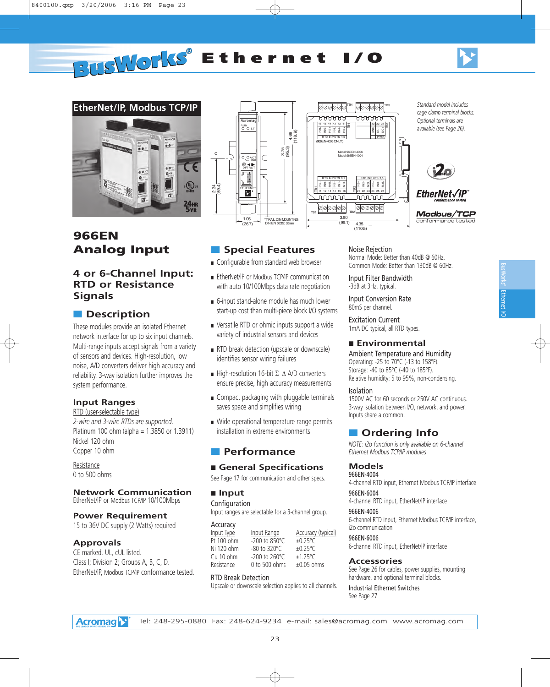



# **966EN Analog Input**

### **4 or 6-Channel Input: RTD or Resistance Signals**

### ■ **Description**

These modules provide an isolated Ethernet network interface for up to six input channels. Multi-range inputs accept signals from a variety of sensors and devices. High-resolution, low noise, A/D converters deliver high accuracy and reliability. 3-way isolation further improves the system performance.

### **Input Ranges**

RTD (user-selectable type) *2-wire and 3-wire RTDs are supported.* Platinum 100 ohm (alpha = 1.3850 or 1.3911) Nickel 120 ohm Copper 10 ohm

Resistance 0 to 500 ohms

### **Network Communication**

EtherNet/IP or Modbus TCP/IP 10/100Mbps

#### **Power Requirement**

15 to 36V DC supply (2 Watts) required

### **Approvals**

CE marked. UL, cUL listed. Class I; Division 2; Groups A, B, C, D. EtherNet/IP, Modbus TCP/IP conformance tested.



■ **Special Features** ■ Configurable from standard web browser ■ EtherNet/IP or Modbus TCP/IP communication with auto 10/100Mbps data rate negotiation ■ 6-input stand-alone module has much lower start-up cost than multi-piece block I/O systems ■ Versatile RTD or ohmic inputs support a wide variety of industrial sensors and devices ■ RTD break detection (upscale or downscale)

identifies sensor wiring failures

saves space and simplifies wiring

■ **Performance**

Resistance 0 to 500 ohms RTD Break Detection

■ **Input Configuration** 

Accuracy<br>**Input** Type

■ High-resolution 16-bit  $\Sigma-\Delta$  A/D converters ensure precise, high accuracy measurements ■ Compact packaging with pluggable terminals

■ Wide operational temperature range permits installation in extreme environments

■ **General Specifications** See Page 17 for communication and other specs.

Input ranges are selectable for a 3-channel group.

 $\frac{Input Type}{100 0}$   $\frac{Input Range}{100 0}$   $\frac{200 00 850°C}{10.25°C}$  $-200$  to 850 $^{\circ}$ C Ni 120 ohm -80 to 320°C ±0.25°C<br>Cu 10 ohm -200 to 260°C ±1.25°C Cu 10 ohm  $-200$  to  $260^{\circ}$ C  $\pm$ 1.25 $^{\circ}$ C<br>Resistance 0 to 500 ohms  $\pm$ 0.05 ohms

Upscale or downscale selection applies to all channels.



#### Noise Rejection

Normal Mode: Better than 40dB @ 60Hz. Common Mode: Better than 130dB @ 60Hz.

Input Filter Bandwidth -3dB at 3Hz, typical.

Input Conversion Rate 80mS per channel.

Excitation Current 1mA DC typical, all RTD types.

#### ■ **Environmental**

Ambient Temperature and Humidity Operating: -25 to 70°C (-13 to 158°F). Storage: -40 to 85°C (-40 to 185°F). Relative humidity: 5 to 95%, non-condensing.

#### Isolation

1500V AC for 60 seconds or 250V AC continuous. 3-way isolation between I/O, network, and power. Inputs share a common.

### ■ **Ordering Info**

*NOTE: i2o function is only available on 6-channel Ethernet Modbus TCP/IP modules*

#### **Models**

966EN-4004 4-channel RTD input, Ethernet Modbus TCP/IP interface

966EN-6004

4-channel RTD input, EtherNet/IP interface

#### 966EN-4006

6-channel RTD input, Ethernet Modbus TCP/IP interface, i2o communication

#### 966EN-6006

6-channel RTD input, EtherNet/IP interface

#### **Accessories**

See Page 26 for cables, power supplies, mounting hardware, and optional terminal blocks.

Industrial Ethernet Switches See Page 27

Ethernet BusWorks® Ethernert I/O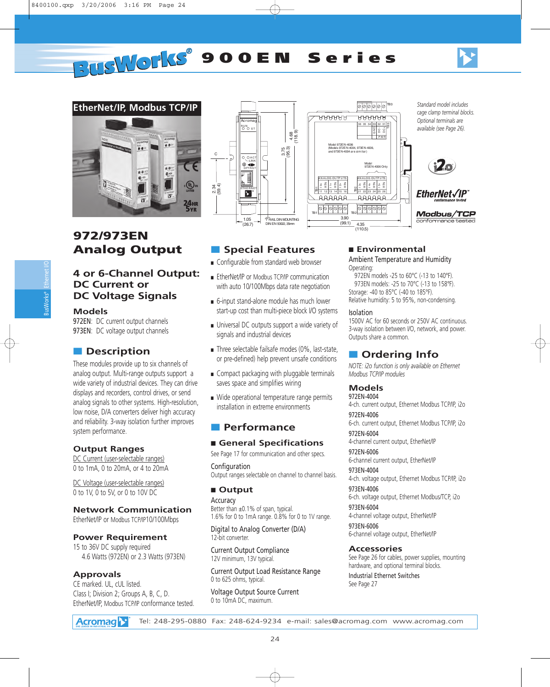



# **972/973EN Analog Output**

### **4 or 6-Channel Output: DC Current or DC Voltage Signals**

### **Models**

972EN: DC current output channels 973EN: DC voltage output channels

### ■ **Description**

These modules provide up to six channels of analog output. Multi-range outputs support a wide variety of industrial devices. They can drive displays and recorders, control drives, or send analog signals to other systems. High-resolution, low noise, D/A converters deliver high accuracy and reliability. 3-way isolation further improves system performance.

### **Output Ranges**

DC Current (user-selectable ranges) 0 to 1mA, 0 to 20mA, or 4 to 20mA

DC Voltage (user-selectable ranges) 0 to 1V, 0 to 5V, or 0 to 10V DC

### **Network Communication**

EtherNet/IP or Modbus TCP/IP10/100Mbps

### **Power Requirement**

15 to 36V DC supply required 4.6 Watts (972EN) or 2.3 Watts (973EN)

### **Approvals**

CE marked. UL, cUL listed. Class I; Division 2; Groups A, B, C, D. EtherNet/IP, Modbus TCP/IP conformance tested.





## ■ **Special Features**

- Configurable from standard web browser
- EtherNet/IP or Modbus TCP/IP communication with auto 10/100Mbps data rate negotiation
- 6-input stand-alone module has much lower start-up cost than multi-piece block I/O systems
- Universal DC outputs support a wide variety of signals and industrial devices
- Three selectable failsafe modes (0%, last-state, or pre-defined) help prevent unsafe conditions
- Compact packaging with pluggable terminals saves space and simplifies wiring
- Wide operational temperature range permits installation in extreme environments

### ■ **Performance**

### ■ General Specifications

See Page 17 for communication and other specs.

Configuration Output ranges selectable on channel to channel basis.

### ■ **Output**

**Accuracy** Better than ±0.1% of span, typical. 1.6% for 0 to 1mA range. 0.8% for 0 to 1V range.

Digital to Analog Converter (D/A) 12-bit converter.

Current Output Compliance 12V minimum, 13V typical.

Current Output Load Resistance Range 0 to 625 ohms, typical.

Voltage Output Source Current 0 to 10mA DC, maximum.

### ■ **Environmental**

Ambient Temperature and Humidity Operating:

972EN models -25 to 60°C (-13 to 140°F). 973EN models: -25 to 70°C (-13 to 158°F). Storage: -40 to 85°C (-40 to 185°F). Relative humidity: 5 to 95%, non-condensing.

#### Isolation

1500V AC for 60 seconds or 250V AC continuous. 3-way isolation between I/O, network, and power. Outputs share a common.

## ■ **Ordering Info**

*NOTE: i2o function is only available on Ethernet Modbus TCP/IP modules*

### **Models**

972EN-4004 4-ch. current output, Ethernet Modbus TCP/IP, i2o

972EN-4006 6-ch. current output, Ethernet Modbus TCP/IP, i2o 972EN-6004

4-channel current output, EtherNet/IP

972EN-6006 6-channel current output, EtherNet/IP

973EN-4004 4-ch. voltage output, Ethernet Modbus TCP/IP, i2o

973EN-4006 6-ch. voltage output, Ethernet Modbus/TCP, i2o

973EN-6004 4-channel voltage output, EtherNet/IP

973EN-6006 6-channel voltage output, EtherNet/IP

### **Accessories**

See Page 26 for cables, power supplies, mounting hardware, and optional terminal blocks.

Industrial Ethernet Switches See Page 27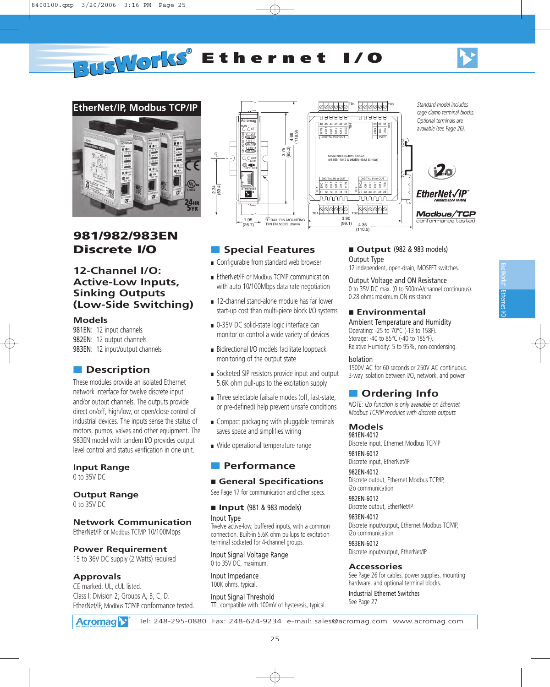

Ethernet BusWorks® Ethernert I/O



# **981/982/983EN Discrete I/O**

### **12-Channel I/O: Active-Low Inputs, Sinking Outputs (Low-Side Switching)**

#### **Models**

981EN: 12 input channels 982EN: 12 output channels 983EN: 12 input/output channels

### ■ **Description**

These modules provide an isolated Ethernet network interface for twelve discrete input and/or output channels. The outputs provide direct on/off, high/low, or open/close control of industrial devices. The inputs sense the status of motors, pumps, valves and other equipment. The 983EN model with tandem I/O provides output level control and status verification in one unit.

### **Input Range**

0 to 35V DC

### **Output Range**

0 to 35V DC

### **Network Communication**

EtherNet/IP or Modbus TCP/IP 10/100Mbps

### **Power Requirement**

15 to 36V DC supply (2 Watts) required

### **Approvals**

CE marked. UL, cUL listed. Class I; Division 2; Groups A, B, C, D. EtherNet/IP, Modbus TCP/IP conformance tested.



### ■ **Special Features**

- Configurable from standard web browser
- EtherNet/IP or Modbus TCP/IP communication with auto 10/100Mbps data rate negotiation
- 12-channel stand-alone module has far lower start-up cost than multi-piece block I/O systems
- 0-35V DC solid-state logic interface can monitor or control a wide variety of devices
- Bidirectional I/O models facilitate loopback monitoring of the output state
- Socketed SIP resistors provide input and output 5.6K ohm pull-ups to the excitation supply
- Three selectable failsafe modes (off, last-state, or pre-defined) help prevent unsafe conditions
- Compact packaging with pluggable terminals saves space and simplifies wiring
- Wide operational temperature range

### ■ **Performance**

### ■ General Specifications

See Page 17 for communication and other specs.

### ■ **Input** (981 & 983 models) Input Type

Twelve active-low, buffered inputs, with a common connection. Built-in 5.6K ohm pullups to excitation terminal socketed for 4-channel groups.

Input Signal Voltage Range 0 to 35V DC, maximum.

Input Impedance 100K ohms, typical.

Input Signal Threshold TTL compatible with 100mV of hysteresis, typical.

### ■ **Output** (982 & 983 models)

### Output Type

12 independent, open-drain, MOSFET switches.

Output Voltage and ON Resistance

0 to 35V DC max. (0 to 500mA/channel continuous). 0.28 ohms maximum ON resistance.

#### ■ **Environmental**

Ambient Temperature and Humidity Operating: -25 to 70°C (-13 to 158F). Storage: -40 to 85°C (-40 to 185°F). Relative Humidity: 5 to 95%, non-condensing.

#### Isolation

1500V AC for 60 seconds or 250V AC continuous. 3-way isolation between I/O, network, and power.

### ■ **Ordering Info**

*NOTE: i2o function is only available on Ethernet Modbus TCP/IP modules with discrete outputs*

#### **Models** 981EN-4012

Discrete input, Ethernet Modbus TCP/IP

981EN-6012 Discrete input, EtherNet/IP

982EN-4012 Discrete output, Ethernet Modbus TCP/IP, i2o communication

982EN-6012 Discrete output, EtherNet/IP

983EN-4012 Discrete input/output, Ethernet Modbus TCP/IP, i2o communication

983EN-6012 Discrete input/output, EtherNet/IP

#### **Accessories**

See Page 26 for cables, power supplies, mounting hardware, and optional terminal blocks.

Industrial Ethernet Switches See Page 27